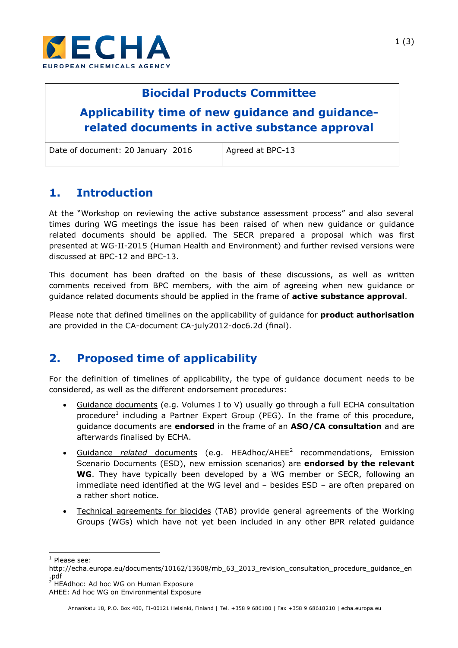

## **Biocidal Products Committee**

# **Applicability time of new guidance and guidancerelated documents in active substance approval**

| Date of document: 20 January 2016 |  |  |  |  |
|-----------------------------------|--|--|--|--|
|-----------------------------------|--|--|--|--|

 $6$  | Agreed at BPC-13

## **1. Introduction**

At the "Workshop on reviewing the active substance assessment process" and also several times during WG meetings the issue has been raised of when new guidance or guidance related documents should be applied. The SECR prepared a proposal which was first presented at WG-II-2015 (Human Health and Environment) and further revised versions were discussed at BPC-12 and BPC-13.

This document has been drafted on the basis of these discussions, as well as written comments received from BPC members, with the aim of agreeing when new guidance or guidance related documents should be applied in the frame of **active substance approval**.

Please note that defined timelines on the applicability of guidance for **product authorisation** are provided in the CA-document CA-july2012-doc6.2d (final).

## **2. Proposed time of applicability**

For the definition of timelines of applicability, the type of guidance document needs to be considered, as well as the different endorsement procedures:

- Guidance documents (e.g. Volumes I to V) usually go through a full ECHA consultation procedure<sup>1</sup> including a Partner Expert Group (PEG). In the frame of this procedure, guidance documents are **endorsed** in the frame of an **ASO/CA consultation** and are afterwards finalised by ECHA.
- Guidance *related* documents (e.g. HEAdhoc/AHEE<sup>2</sup> recommendations, Emission Scenario Documents (ESD), new emission scenarios) are **endorsed by the relevant WG**. They have typically been developed by a WG member or SECR, following an immediate need identified at the WG level and – besides ESD – are often prepared on a rather short notice.
- Technical agreements for biocides (TAB) provide general agreements of the Working Groups (WGs) which have not yet been included in any other BPR related guidance

1

<sup>&</sup>lt;sup>1</sup> Please see:

http://echa.europa.eu/documents/10162/13608/mb\_63\_2013\_revision\_consultation\_procedure\_guidance\_en ب.<br>pdf<sub>;</sub>

HEAdhoc: Ad hoc WG on Human Exposure

AHEE: Ad hoc WG on Environmental Exposure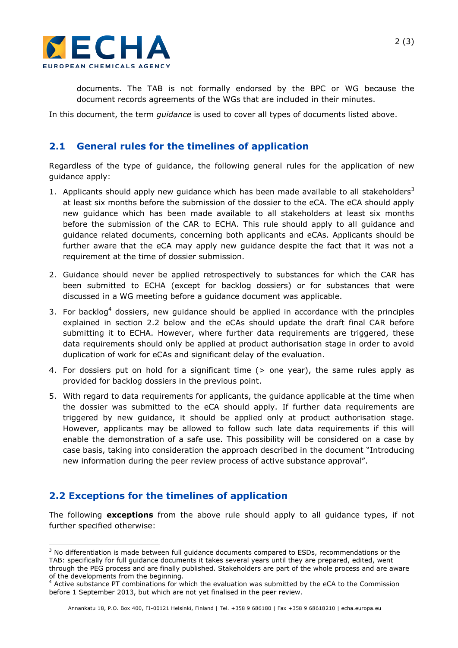

documents. The TAB is not formally endorsed by the BPC or WG because the document records agreements of the WGs that are included in their minutes.

In this document, the term *guidance* is used to cover all types of documents listed above.

#### **2.1 General rules for the timelines of application**

Regardless of the type of guidance, the following general rules for the application of new guidance apply:

- 1. Applicants should apply new quidance which has been made available to all stakeholders<sup>3</sup> at least six months before the submission of the dossier to the eCA. The eCA should apply new guidance which has been made available to all stakeholders at least six months before the submission of the CAR to ECHA. This rule should apply to all guidance and guidance related documents, concerning both applicants and eCAs. Applicants should be further aware that the eCA may apply new guidance despite the fact that it was not a requirement at the time of dossier submission.
- 2. Guidance should never be applied retrospectively to substances for which the CAR has been submitted to ECHA (except for backlog dossiers) or for substances that were discussed in a WG meeting before a guidance document was applicable.
- 3. For backlog<sup>4</sup> dossiers, new quidance should be applied in accordance with the principles explained in section 2.2 below and the eCAs should update the draft final CAR before submitting it to ECHA. However, where further data requirements are triggered, these data requirements should only be applied at product authorisation stage in order to avoid duplication of work for eCAs and significant delay of the evaluation.
- 4. For dossiers put on hold for a significant time (> one year), the same rules apply as provided for backlog dossiers in the previous point.
- 5. With regard to data requirements for applicants, the guidance applicable at the time when the dossier was submitted to the eCA should apply. If further data requirements are triggered by new guidance, it should be applied only at product authorisation stage. However, applicants may be allowed to follow such late data requirements if this will enable the demonstration of a safe use. This possibility will be considered on a case by case basis, taking into consideration the approach described in the document "Introducing new information during the peer review process of active substance approval".

#### **2.2 Exceptions for the timelines of application**

-

The following **exceptions** from the above rule should apply to all guidance types, if not further specified otherwise:

 $3$  No differentiation is made between full guidance documents compared to ESDs, recommendations or the TAB: specifically for full guidance documents it takes several years until they are prepared, edited, went

through the PEG process and are finally published. Stakeholders are part of the whole process and are aware of the developments from the beginning.

<sup>4</sup> Active substance PT combinations for which the evaluation was submitted by the eCA to the Commission before 1 September 2013, but which are not yet finalised in the peer review.